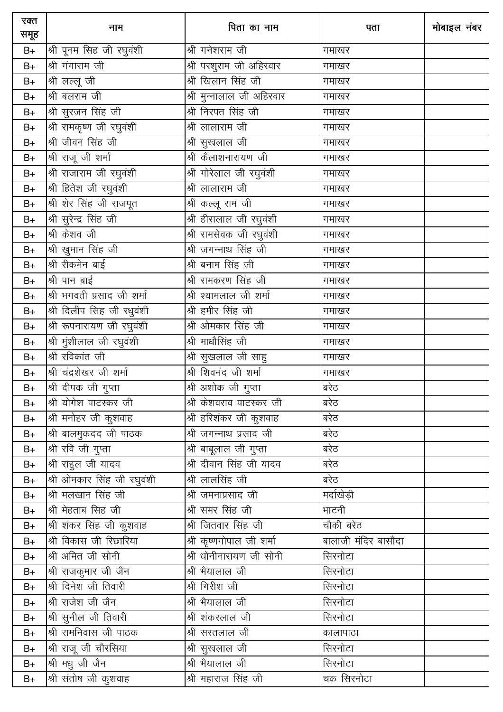| रक्त<br>समूह  | नाम                        | पिता का नाम               | पता                 | मोबाइल नंबर |
|---------------|----------------------------|---------------------------|---------------------|-------------|
| $B+$          | श्री पूनम सिंह जी रघुवंशी  | श्री गनेशराम जी           | गमाखर               |             |
| $B+$          | श्री गंगाराम जी            | श्री परशुराम जी अहिरवार   | गमाखर               |             |
| $B+$          | श्री लल्लू जी              | श्री खिलान सिंह जी        | गमाखर               |             |
| $B+$          | श्री बलराम जी              | श्री मुन्नालाल जी अहिरवार | गमाखर               |             |
| $B+$          | श्री सुरजन सिंह जी         | श्री निरपत सिंह जी        | गमाखर               |             |
| $B+$          | श्री रामकृष्ण जी रघुवंशी   | श्री लालाराम जी           | गमाखर               |             |
| $B+$          | श्री जीवन सिंह जी          | श्री सुखलाल जी            | गमाखर               |             |
| $B+$          | श्री राजू जी शर्मा         | श्री कैलाशनारायण जी       | गमाखर               |             |
| $B+$          | श्री राजाराम जी रघुवंशी    | श्री गोरेलाल जी रघुवंशी   | गमाखर               |             |
| $B+$          | श्री हितेश जी रघुवंशी      | श्री लालाराम जी           | गमाखर               |             |
| $B+$          | श्री शेर सिंह जी राजपूत    | श्री कल्लू राम जी         | गमाखर               |             |
| $B+$          | श्री सुरेन्द्र सिंह जी     | श्री हीरालाल जी रघुवंशी   | गमाखर               |             |
| $B+$          | श्री केशव जी               | श्री रामसेवक जी रघुवंशी   | गमाखर               |             |
| $B+$          | श्री खुमान सिंह जी         | श्री जगन्नाथ सिंह जी      | गमाखर               |             |
| $B+$          | श्री रीकमेन बाई            | श्री बनाम सिंह जी         | गमाखर               |             |
| $B+$          | श्री पान बाई               | श्री रामकरण सिंह जी       | गमाखर               |             |
| $\mathsf{B}+$ | श्री भगवती प्रसाद जी शर्मा | श्री श्यामलाल जी शर्मा    | गमाखर               |             |
| $\mathsf{B}+$ | श्री दिलीप सिंह जी रधुवंशी | श्री हमीर सिंह जी         | गमाखर               |             |
| $B+$          | श्री रूपनारायण जी रघुवंशी  | श्री ओमकार सिंह जी        | गमाखर               |             |
| $B+$          | श्री मुंशीलाल जी रघुवंशी   | श्री माधौसिंह जी          | गमाखर               |             |
| $B+$          | श्री रविकांत जी            | श्री सुखलाल जी साहु       | गमाखर               |             |
| $B+$          | श्री चंद्रशेखर जी शर्मा    | श्री शिवनंद जी शर्मा      | गमाखर               |             |
| $B+$          | श्री दीपक जी गुप्ता        | श्री अशोक जी गुप्ता       | बरेठ                |             |
| $B+$          | श्री योगेश पाटस्कर जी      | श्री केशवराव पाटस्कर जी   | बरेठ                |             |
| $B+$          | श्री मनोहर जी कुशवाह       | श्री हरिशंकर जी कुशवाह    | बरेठ                |             |
| $B+$          | श्री बालमुकदद जी पाठक      | श्री जगन्नाथ प्रसाद जी    | बरेठ                |             |
| $B+$          | श्री रवि जी गुप्ता         | श्री बाबूलाल जी गुप्ता    | बरेठ                |             |
| $B+$          | श्री राहुल जी यादव         | श्री दीवान सिंह जी यादव   | बरेठ                |             |
| $B+$          | श्री ओमकार सिंह जी रघुवंशी | श्री लालसिंह जी           | बरेठ                |             |
| $B+$          | श्री मलखान सिंह जी         | श्री जमनाप्रसाद जी        | मर्दाखेड़ी          |             |
| $B+$          | श्री मेहताब सिह जी         | श्री समर सिंह जी          | भाटनी               |             |
| $B+$          | श्री शंकर सिंह जी कुशवाह   | श्री जितवार सिंह जी       | चौकी बरेठ           |             |
| $B+$          | श्री विकास जी रिछारिया     | श्री कृष्णगोपाल जी शर्मा  | बालाजी मंदिर बासौदा |             |
| $B+$          | श्री अमित जी सोनी          | श्री धोनीनारायण जी सोनी   | सिरनोटा             |             |
| $B+$          | श्री राजकुमार जी जैन       | श्री भैयालाल जी           | सिरनोटा             |             |
| $B+$          | श्री दिनेश जी तिवारी       | श्री गिरीश जी             | सिरनोटा             |             |
| $B+$          | श्री राजेश जी जैन          | श्री भैयालाल जी           | सिरनोटा             |             |
| $B+$          | श्री सुनील जी तिवारी       | श्री शंकरलाल जी           | सिरनोटा             |             |
| $B+$          | श्री रामनिवास जी पाठक      | श्री सरतलाल जी            | कालापाठा            |             |
| $B+$          | श्री राजू जी चौरसिया       | श्री सुखलाल जी            | सिरनोटा             |             |
| $B+$          | श्री मधु जी जैन            | श्री भैयालाल जी           | सिरनोटा             |             |
| $B+$          | श्री संतोष जी कुशवाह       | श्री महाराज सिंह जी       | चक सिरनोटा          |             |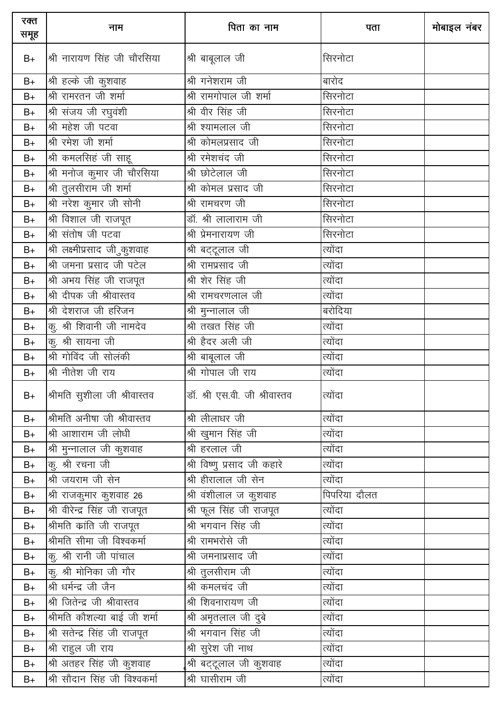| रक्त<br>समूह  | नाम                                         | पिता का नाम                            | पता          | मोबाइल नंबर |
|---------------|---------------------------------------------|----------------------------------------|--------------|-------------|
| $B+$          | श्री नारायण सिंह जी चौरसिया                 | श्री बाबूलाल जी                        | सिरनोटा      |             |
| $B+$          | श्री हल्के जी कुशवाह                        | श्री गनेशराम जी                        | बारोद        |             |
| $B+$          | श्री रामरतन जी शर्मा                        | श्री रामगोपाल जी शर्मा                 | सिरनोटा      |             |
| $B+$          | श्री संजय जी रघुवंशी                        | श्री वीर सिंह जी                       | सिरनोटा      |             |
| $B+$          | श्री महेश जी पटवा                           | श्री श्यामलाल जी                       | सिरनोटा      |             |
| $B+$          | श्री रमेश जी शर्मा                          | श्री कोमलप्रसाद जी                     | सिरनोटा      |             |
| $\mathsf{B}+$ | श्री कमलसिहं जी साहू                        | श्री रमेशचंद जी                        | सिरनोटा      |             |
| $B+$          | श्री मनोज कुमार जी चौरसिया                  | श्री छोटेलाल जी                        | सिरनोटा      |             |
| $\mathsf{B}+$ | श्री तुलसीराम जी शर्मा                      | श्री कोमल प्रसाद जी                    | सिरनोटा      |             |
| $B+$          | श्री नरेश कुमार जी सोनी                     | श्री रामचरण जी                         | सिरनोटा      |             |
| $B+$          | श्री विशाल जी राजपूत                        | डॉ. श्री लालाराम जी                    | सिरनोटा      |             |
| $B+$          | श्री संतोष जी पटवा                          | श्री प्रेमनारायण जी                    | सिरनोटा      |             |
| $B+$          | ्र<br>श्री लक्ष्मीप्रसाद जी <i>ु</i> कुशवाह | श्री बट्टूलाल जी                       | त्योंदा      |             |
| $B+$          | श्री जमना प्रसाद जी पटेल                    | <u>श्री रामप्र</u> साद जी              | त्योंदा      |             |
| $B+$          | श्री अभय सिंह जी राजपूत                     | <u>श्री शेर सिंह जी</u>                | त्योंदा      |             |
| $B+$          | श्री दीपक जी श्रीवास्तव                     | श्री रामचरणलाल जी                      | त्योंदा      |             |
| $B+$          | श्री देशराज जी हरिजन                        | श्री मुन्नालाल जी                      | बरोदिया      |             |
| $B+$          | कु. श्री शिवानी जी नामदेव                   | श्री तखत सिंह जी                       | त्योंदा      |             |
| $B+$          | $\sigma$ कु. श्री सायना जी                  | श्री हैदर अली जी                       | त्योंदा      |             |
| $B+$          | श्री गोविंद जी सोलंकी                       | श्री बाबूलाल जी                        | त्योंदा      |             |
| $B+$          | श्री नीतेश जी राय                           | श्री गोपाल जी राय                      | त्योंदा      |             |
| $B+$          | श्रीमति सुशीला जी श्रीवास्तव                | डॉ. श्री एस.वी. जी श्रीवास्तव          | त्योंदा      |             |
| $B+$          | श्रीमति अनीषा जी श्रीवास्तव                 | श्री लीलाधर जी                         | त्योंदा      |             |
| $B+$          | श्री आशाराम जी लोधी                         | श्री खुमान सिंह जी                     | त्योंदा      |             |
| $B+$          | श्री मुन्नालाल जी कुशवाह                    | श्री हरलाल जी                          | त्योंदा      |             |
| $B+$          | क्, श्री रचना जी                            | श्री विष्णु प्रसाद जी कहारे            | त्योंदा      |             |
| $B+$          | श्री जयराम जी सेन                           | श्री हीरालाल जी सेन                    | त्योंदा      |             |
| $B+$          | श्री राजकुमार कुशवाह 26                     | श्री वंशीलाल ज कुशवाह                  | पिपरिया दौलत |             |
| $B+$          | श्री वीरेन्द्र सिंह जी राजपूत               | श्री फूल सिंह जी राजपूत                | त्योंदा      |             |
| $B+$          | श्रीमति क्रांति जी राजपूत                   | श्री भगवान सिंह जी                     | त्योंदा      |             |
| $B+$          | श्रीमति सीमा जी विश्वकर्मा                  | श्री रामभरोसे जी                       | त्योंदा      |             |
| $B+$          | कु. श्री रानी जी पांचाल                     | श्री जमनाप्रसाद जी                     | त्योंदा      |             |
| $B+$          | कु. श्री मोनिका जी गौर                      | श्री तुलसीराम जी                       | त्योंदा      |             |
| $B+$          | श्री धर्मन्द्र जी जैन                       | ————————————————————<br>श्री कमलचंद जी | त्योंदा      |             |
| $B+$          | श्री जितेन्द्र जी श्रीवास्तव                | श्री शिवनारायण जी                      | त्योंदा      |             |
| $B+$          | श्रीमति कौशल्या बाई जी शर्मा                | श्री अमृतलाल जी दुबे                   | त्योंदा      |             |
| $B+$          | श्री सतेन्द्र सिंह जी राजपूत                | श्री भगवान सिंह जी                     | त्योंदा      |             |
| $B+$          | श्री राहुल जी राय                           | श्री सुरेश जी नाथ                      | त्योंदा      |             |
| $B+$          | श्री अतहर सिंह जी कुशवाह                    | श्री बट्टूलाल जी कुशवाह                | त्योंदा      |             |
| $B+$          | श्री सौदान सिंह जी विश्वकर्मा               | श्री घासीराम जी                        | त्योंदा      |             |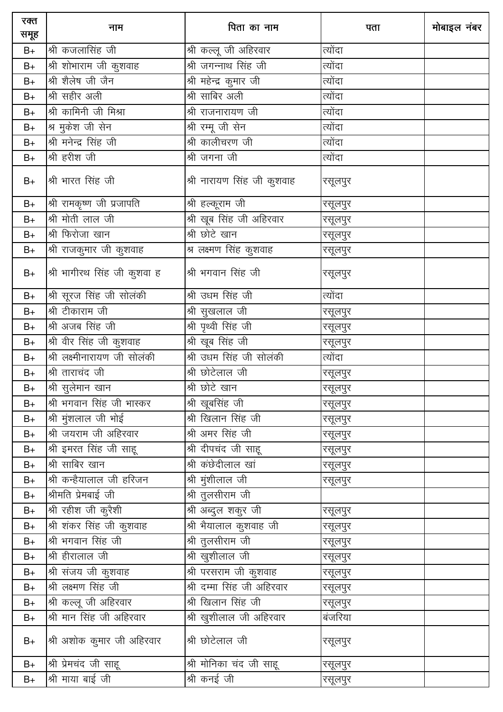| रक्त<br>समूह | नाम                                         | पिता का नाम                           | पता     | मोबाइल नंबर |
|--------------|---------------------------------------------|---------------------------------------|---------|-------------|
| $B+$         | श्री कजलासिंह जी                            | श्री कल्लू जी अहिरवार                 | त्योंदा |             |
| $B+$         | श्री शोभाराम जी कुशवाह                      | श्री जगन्नाथ सिंह जी                  | त्योंदा |             |
| $B+$         | श्री शैलेष जी जैन                           | श्री महेन्द्र कुमार जी                | त्योंदा |             |
| $B+$         | श्री सहीर अली                               | श्री साबिर अली                        | त्योंदा |             |
| $B+$         | श्री कामिनी जी मिश्रा                       | श्री राजनारायण जी                     | त्योंदा |             |
| $B+$         | श्र मुकेश जी सेन                            | श्री रम्मू जी सेन                     | त्योंदा |             |
| $B+$         | श्री मनेन्द्र सिंह जी                       | श्री कालीचरण जी                       | त्योंदा |             |
| $B+$         | श्री हरीश जी                                | श्री जगना जी                          | त्योंदा |             |
| $B+$         | श्री भारत सिंह जी                           | श्री नारायण सिंह जी कुशवाह            | रसूलपुर |             |
| $B+$         | श्री रामकृष्ण जी प्रजापति                   | श्री हल्कूराम जी                      | रसूलपुर |             |
| $B+$         | श्री मोती लाल जी                            | श्री खूब सिंह जी अहिरवार              | रसूलपुर |             |
| $B+$         | श्री फिरोजा खान                             | श्री छोटे खान                         | रसूलपुर |             |
| $B+$         | श्री राजकुमार जी कुशवाह                     | श्र लक्ष्मण सिंह कुशवाह               | रसूलपुर |             |
| $B+$         | श्री भागीरथ सिंह जी कुशवा ह                 | श्री भगवान सिंह जी                    | रसूलपुर |             |
| $B+$         | श्री सूरज सिंह जी सोलंकी                    | श्री उधम सिंह जी                      | त्योंदा |             |
| $B+$         | श्री टीकाराम जी                             | श्री सुखलाल जी                        | रसूलपुर |             |
| $B+$         | श्री अजब सिंह जी                            | श्री पृथ्वी सिंह जी                   | रसूलपुर |             |
| $B+$         | श्री वीर सिंह जी कुशवाह                     | श्री खूब सिंह जी                      | रसूलपुर |             |
| $B+$         | श्री लक्ष्मीनारायण जी सोलंकी                | श्री उधम सिंह जी सोलंकी               | त्योंदा |             |
| $B+$         | श्री ताराचंद जी                             | श्री छोटेलाल जी                       | रसूलपुर |             |
| $B+$         | श्री सुलेमान खान                            | श्री छोटे खान                         | रसूलपुर |             |
| B+           | श्री भगवान सिंह जी भास्कर                   | श्री खूबसिंह जी                       | रसूलपुर |             |
| $B+$         | श्री मुंशलाल जी भोई                         | श्री खिलान सिंह जी                    | रसूलपुर |             |
| $B+$         | श्री जयराम जी अहिरवार                       | <u>श्री अमर सिंह जी</u>               | रसूलपुर |             |
| $B+$         | $\overline{\mathfrak{R}}$ इमरत सिंह जी साहू | श्री दीपचंद जी साहू                   | रसूलपुर |             |
| $B+$         | श्री साबिर खान                              | श्री कंछेदीलाल खां                    | रसूलपुर |             |
| $B+$         | श्री कन्हैयालाल जी हरिजन                    | श्री मुंशीलाल जी                      | रसूलपुर |             |
| $B+$         | श्रीमति प्रेमबाई जी                         | $\overline{\mathfrak{A}}$ तुलसीराम जी |         |             |
| $B+$         | $\overline{\mathfrak{R}}$ रहीश जी कुरैशी    | ___<br>श्री अब्दुल शकुर जी            | रसूलपुर |             |
| $B+$         | श्री शंकर सिंह जी कुशवाह                    | श्री भैयालाल कुशवाह जी                | रसूलपुर |             |
| $B+$         | श्री भगवान सिंह जी                          | श्री तुलसीराम जी                      | रसूलपुर |             |
| $B+$         | श्री हीरालाल जी                             | श्री खुशीलाल जी                       | रसूलपुर |             |
| $B+$         | श्री संजय जी कुशवाह                         | श्री परसराम जी कुशवाह                 | रसूलपुर |             |
| $B+$         | श्री लक्ष्मण सिंह जी                        | श्री दम्मा सिंह जी अहिरवार            | रसूलपुर |             |
| B+           | श्री कल्लू जी अहिरवार                       | श्री खिलान सिंह जी                    | रसूलपुर |             |
| $B+$         | श्री मान सिंह जी अहिरवार                    | श्री खुशीलाल जी अहिरवार               | बंजरिया |             |
| $B+$         | श्री अशोक कुमार जी अहिरवार                  | श्री छोटेलाल जी                       | रसूलपुर |             |
| $B+$         | श्री प्रेमचंद जी साहू                       | श्री मोनिका चंद जी साहू               | रसूलपुर |             |
| $B+$         | श्री माया बाई जी                            | श्री कनई जी                           | रसूलपुर |             |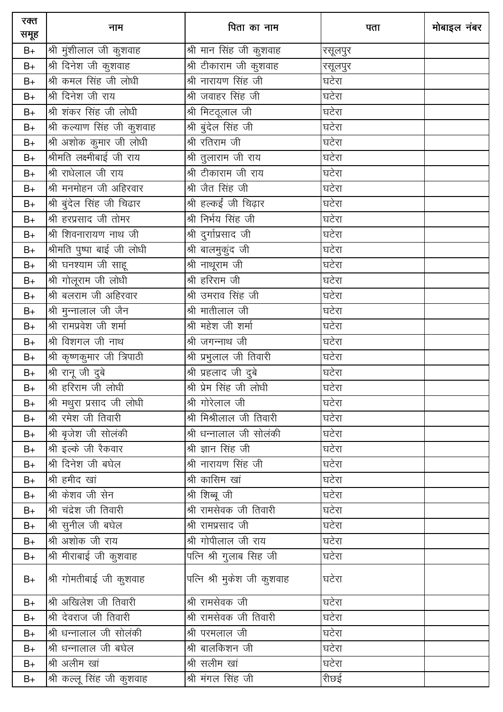| रक्त<br>समूह  | नाम                              | पिता का नाम                           | पता     | मोबाइल नंबर |
|---------------|----------------------------------|---------------------------------------|---------|-------------|
| $B+$          | श्री मुंशीलाल जी कुशवाह          | श्री मान सिंह जी कुशवाह               | रसूलपुर |             |
| $B+$          | श्री दिनेश जी कुशवाह             | श्री टीकाराम जी कुशवाह                | रसूलपुर |             |
| $B+$          | श्री कमल सिंह जी लोधी            | श्री नारायण सिंह जी                   | घटेरा   |             |
| $B+$          | श्री दिनेश जी राय                | श्री जवाहर सिंह जी                    | घटेरा   |             |
| $B+$          | श्री शंकर सिंह जी लोधी           | श्री मिटदूलाल जी                      | घटेरा   |             |
| $B+$          | श्री कल्याण सिंह जी कुशवाह       | श्री बुंदेल सिंह जी                   | घटेरा   |             |
| $B+$          | श्री अशोक कुमार जी लोधी          | श्री रतिराम जी                        | घटेरा   |             |
| $B+$          | <u>श्रीमति</u> लक्ष्मीबाई जी राय | श्री तुलाराम जी राय                   | घटेरा   |             |
| $B+$          | श्री राधेलाल जी राय              | श्री टीकाराम जी राय                   | घटेरा   |             |
| $B+$          | श्री मनमोहन जी अहिरवार           | श्री जैत सिंह जी                      | घटेरा   |             |
| $B+$          | श्री बुंदेल सिंह जी चिढार        | श्री हल्कईं जी चिढ़ार                 | घटेरा   |             |
| $B+$          | श्री हरप्रसाद जी तोमर            | श्री निर्भय सिंह जी                   | घटेरा   |             |
| $B+$          | श्री शिवनारायण नाथ जी            | श्री दुर्गाप्रसाद जी                  | घटेरा   |             |
| $B+$          | श्रीमति पुष्पा बाई जी लोधी       | श्री बालमुकुंद जी                     | घटेरा   |             |
| $B+$          | <u>श्री घनश्याम जी साहू</u>      | श्री नाथूराम जी                       | घटेरा   |             |
| $\mathsf{B}+$ | श्री गोलूराम जी लोधी             | श्री हरिराम जी                        | घटेरा   |             |
| $B+$          | श्री बलराम जी अहिरवार            | श्री उमराव सिंह जी                    | घटेरा   |             |
| $\mathsf{B}+$ | श्री मुन्नालाल जी जैन            | श्री मातीलाल जी                       | घटेरा   |             |
| $B+$          | श्री रामप्रवेश जी शर्मा          | श्री महेश जी शर्मा                    | घटेरा   |             |
| $B+$          | श्री विशगल जी नाथ                | श्री जगन्नाथ जी                       | घटेरा   |             |
| $B+$          | श्री कृष्णकुमार जी त्रिपाठी      | श्री प्रभुलाल जी तिवारी               | घटेरा   |             |
| $B+$          | श्री रानू जी दुबे                | श्री प्रहलाद जी दुबे                  | घटेरा   |             |
| $B+$          | श्री हरिराम जी लोधी              | श्री प्रेम सिंह जी लोधी               | घटेरा   |             |
| $B+$          | श्री मथुरा प्रसाद जी लोधी        | श्री गोरेलाल जी                       | घटेरा   |             |
| $B+$          | श्री रमेश जी तिवारी              | श्री मिश्रीलाल जी तिवारी              | घटेरा   |             |
| $B+$          | श्री बृजेश जी सोलंकी             | श्री धन्नालाल जी सोलंकी               | घटेरा   |             |
| $B+$          | श्री इल्के जी रैकवार             | श्री ज्ञान सिंह जी                    | घटेरा   |             |
| $B+$          | श्री दिनेश जी बघेल               | श्री नारायण सिंह जी                   | घटेरा   |             |
| $B+$          | श्री हमीद खां                    | श्री कासिम खां                        | घटेरा   |             |
| $B+$          | श्री केशव जी सेन                 | श्री शिब्बू जी                        | घटेरा   |             |
| $B+$          | श्री चंद्रेश जी तिवारी           | श्री रामसेवक जी तिवारी                | घटेरा   |             |
| $B+$          | श्री सुनील जी बघेल               | श्री रामप्रसाद जी                     | घटेरा   |             |
| $B+$          | श्री अशोक जी राय                 | श्री गोपीलाल जी राय                   | घटेरा   |             |
| $B+$          | श्री मीराबाई जी कुशवाह           | पत्नि श्री गुलाब सिह जी               | घटेरा   |             |
| $B+$          | श्री गोमतीबाई जी कुशवाह          | पत्नि श्री मुकेश जी कुशवाह            | घटेरा   |             |
| $B+$          | श्री अखिलेश जी तिवारी            | श्री रामसेवक जी                       | घटेरा   |             |
| $B+$          | श्री देवराज जी तिवारी            | <u>श्री राम</u> सेवक जी तिवारी        | घटेरा   |             |
| $B+$          | श्री धन्नालाल जी सोलंकी          | श्री परमलाल जी                        | घटेरा   |             |
| $B+$          | श्री धन्नालाल जी बघेल            | $\overline{\mathcal{B}}$ ा बालकिशन जी | घटेरा   |             |
| $B+$          | श्री अलीम खां                    | श्री सलीम खां                         | घटेरा   |             |
| $B+$          | श्री कल्लू सिंह जी कुशवाह        | श्री मंगल सिंह जी                     | रीछई    |             |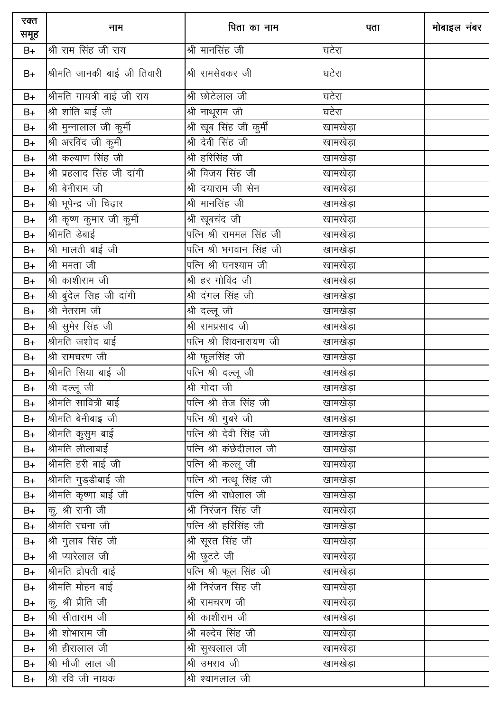| रक्त<br>समूह | नाम                         | पिता का नाम              | पता           | मोबाइल नंबर |
|--------------|-----------------------------|--------------------------|---------------|-------------|
| $B+$         | श्री राम सिंह जी राय        | श्री मानसिंह जी          | घटेरा         |             |
| $B+$         | श्रीमति जानकी बाई जी तिवारी | श्री रामसेवकर जी         | घटेरा         |             |
| $B+$         | श्रीमति गायत्री बाई जी राय  | श्री छोटेलाल जी          | घटेरा         |             |
| $B+$         | श्री शांति बाई जी           | श्री नाथूराम जी          | घटेरा         |             |
| $B+$         | श्री मुन्नालाल जी कुर्मी    | श्री खूब सिंह जी कुर्मी  | खामखेड़ा      |             |
| $B+$         | श्री अरविंद जी कुर्मी       | श्री देवी सिंह जी        | खामखेड़ा      |             |
| $B+$         | श्री कल्याण सिंह जी         | श्री हरिसिंह जी          | खामखेड़ा      |             |
| $B+$         | श्री प्रहलाद सिंह जी दांगी  | श्री विजय सिंह जी        | खामखेड़ा      |             |
| $B+$         | श्री बेनीराम जी             | श्री दयाराम जी सेन       | खामखेड़ा      |             |
| $B+$         | श्री भूपेन्द्र जी चिढ़ार    | श्री मानसिंह जी          | _<br>खामखेड़ा |             |
| $B+$         | श्री कृष्ण कुमार जी कुर्मी  | श्री खूबचंद जी           | खामखेड़ा      |             |
| $B+$         | श्रीमति डेबाई               | पत्नि श्री राममल सिंह जी | _<br>खामखेड़ा |             |
| $B+$         | श्री मालती बाई जी           | पत्नि श्री भगवान सिंह जी | खामखेड़ा      |             |
| $B+$         | श्री ममता जी                | पत्नि श्री घनश्याम जी    | _<br>खामखेड़ा |             |
| $B+$         | श्री काशीराम जी             | श्री हर गोविंद जी        | खामखेड़ा      |             |
| $B+$         | श्री बुंदेल सिंह जी दांगी   | श्री दंगल सिंह जी        | खामखेड़ा      |             |
| $B+$         | श्री नेतराम जी              | श्री दल्लू जी            | खामखेड़ा      |             |
| $B+$         | श्री सुमेर सिंह जी          | श्री रामप्रसाद जी        | खामखेड़ा      |             |
| $B+$         | श्रीमति जशोद बाई            | पत्नि श्री शिवनारायण जी  | खामखेड़ा      |             |
| $B+$         | श्री रामचरण जी              | श्री फूलसिंह जी          | खामखेड़ा      |             |
| $B+$         | श्रीमति सिया बाई जी         | पत्नि श्री दल्लू जी      | खामखेड़ा      |             |
| $B+$         | श्री दल्लू जी               | श्री गोदा जी             | खामखेड़ा      |             |
| B+           | श्रीमति सावित्री बाई        | पत्नि श्री तेज सिंह जी   | खामखेड़ा      |             |
| $B+$         | श्रीमति बेनीबाइ जी          | पत्नि श्री गुबरे जी      | खामखेड़ा      |             |
| $B+$         | श्रीमति कुसुम बाई           | पत्नि श्री देवी सिंह जी  | खामखेड़ा      |             |
| $B+$         | श्रीमति लीलाबाई             | पत्नि श्री कंछेदीलाल जी  | खामखेड़ा      |             |
| $B+$         | श्रीमति हरी बाई जी          | पत्नि श्री कल्लू जी      | खामखेड़ा      |             |
| $B+$         | श्रीमति गुड्डीबाई जी        | पत्नि श्री नत्थू सिंह जी | खामखेड़ा      |             |
| $B+$         | श्रीमति कृष्णा बाई जी       | पत्नि श्री राधेलाल जी    | खामखेड़ा      |             |
| $B+$         | कु. श्री रानी जी            | श्री निरंजन सिंह जी      | खामखेड़ा      |             |
| $B+$         | श्रीमति रचना जी             | पत्नि श्री हरिसिंह जी    | .<br>खामखेड़ा |             |
| $B+$         | श्री गुलाब सिंह जी          | श्री सूरत सिंह जी        | खामखेड़ा      |             |
| $B+$         | श्री प्यारेलाल जी           | श्री छुटटे जी            | .<br>खामखेड़ा |             |
| $B+$         | श्रीमति द्रोपती बाई         | पत्नि श्री फूल सिंह जी   | खामखेड़ा      |             |
| $B+$         | श्रीमति मोहन बाई            | श्री निरंजन सिंह जी      | _<br>खामखेड़ा |             |
| $B+$         | क, श्री प्रीति जी           | श्री रामचरण जी           | खामखेड़ा      |             |
| $B+$         | श्री सीताराम जी             | श्री काशीराम जी          | खामखेड़ा      |             |
| $B+$         | श्री शोभाराम जी             | श्री बल्देव सिंह जी      | खामखेड़ा      |             |
| $B+$         | श्री हीरालाल जी             | श्री सुखलाल जी           | खामखेड़ा      |             |
| $B+$         | श्री मौजी लाल जी            | श्री उमराव जी            | खामखेड़ा      |             |
| $B+$         | श्री रवि जी नायक            | श्री श्यामलाल जी         |               |             |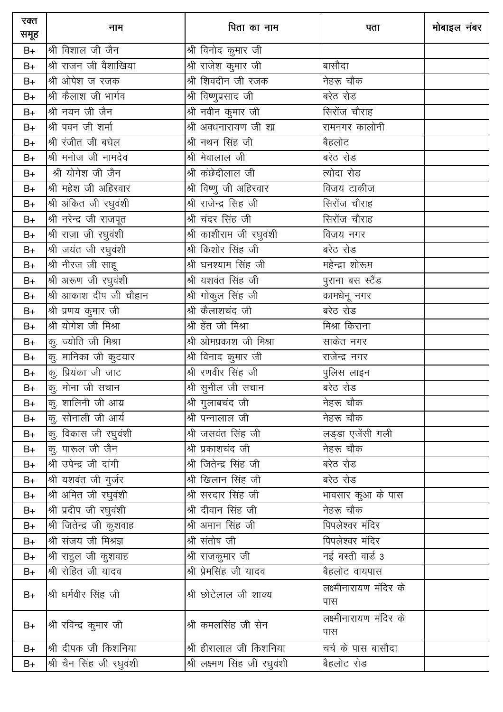| रक्त<br>समूह  | नाम                      | पिता का नाम                  | पता                             | मोबाइल नंबर |
|---------------|--------------------------|------------------------------|---------------------------------|-------------|
| $B+$          | श्री विशाल जी जैन        | श्री विनोद कुमार जी          |                                 |             |
| $B+$          | श्री राजन जी वैशाखिया    | <u>श्री</u> राजेश कुमार जी   | बासौदा                          |             |
| $B+$          | श्री ओपेश ज रजक          | श्री शिवदीन जी रजक           | नेहरू चौक                       |             |
| $B+$          | श्री कैलाश जी भार्गव     | श्री विष्णुप्रसाद जी         | बरेठ रोड                        |             |
| $B+$          | श्री नयन जी जैन          | श्री नवीन कुमार जी           | सिरोंज चौराह                    |             |
| $B+$          | श्री पवन जी शर्मा        | श्री अवधनारायण जी श्य        | रामनगर कालोनी                   |             |
| $B+$          | श्री रंजीत जी बघेल       | श्री नथन सिंह जी             | बैहलोट                          |             |
| $B+$          | श्री मनोज जी नामदेव      | श्री मेवालाल जी              | बरेठ रोड                        |             |
| $B+$          | श्री योगेश जी जैन        | श्री कंछेदीलाल जी            | त्योदा रोड                      |             |
| $B+$          | श्री महेश जी अहिरवार     | श्री विष्णु जी अहिरवार       | विजय टाकीज                      |             |
| $B+$          | श्री अंकित जी रघुवंशी    | श्री राजेन्द्र सिह जी        | सिरोंज चौराह                    |             |
| $B+$          | श्री नरेन्द्र जी राजपूत  | श्री चंदर सिंह जी            | सिरोंज चौराह                    |             |
| $B+$          | श्री राजा जी रघुवंशी     | श्री काशीराम जी रघुवंशी      | विजय नगर                        |             |
| $B+$          | श्री जयंत जी रघुवंशी     | श्री किशोर सिंह जी           | बरेठ रोड                        |             |
| $B+$          | श्री नीरज जी साहू        | श्री घनश्याम सिंह जी         | महेन्द्रा शोरूम                 |             |
| $B+$          | श्री अरूण जी रघुवंशी     | श्री यशवंत सिंह जी           | पुराना बस स्टैंड                |             |
| $B+$          | श्री आकाश दीप जी चौहान   | श्री गोकुल सिंह जी           | कामधेनू नगर                     |             |
| $B+$          | श्री प्रणय कुमार जी      | श्री कैलाशचंद जी             | बरेठ रोड                        |             |
| $B+$          | श्री योगेश जी मिश्रा     | श्री हेंत जी मिश्रा          | मिश्रा किराना                   |             |
| $B+$          | कु. ज्योति जी मिश्रा     | श्री ओमप्रकाश जी मिश्रा      | साकेत नगर                       |             |
| $B+$          | कु. मानिका जी कुटयार     | श्री विनाद कुमार जी          | राजेन्द्र नगर                   |             |
| $B+$          | कु. प्रियंका जी जाट      | श्री रणवीर सिंह जी           | पुलिस लाइन                      |             |
| $B+$          | कु. मोना जी सचान         | श्री सुनील जी सचान           | बरेठ रोड                        |             |
| $B+$          | कु. शालिनी जी आग्र       | श्री गुलाबचंद जी             | नेहरू चौक                       |             |
| $B+$          | कु. सोनाली जी आर्य       | श्री पन्नालाल जी             | नेहरू चौक                       |             |
| $B+$          | कु. विकास जी रघुवंशी     | श्री जसवंत सिंह जी           | लड्डा एजेंसी गली                |             |
| $B+$          | कु. पारूल जी जैन         | श्री प्रकाशचंद जी            | नेहरू चौक                       |             |
| $B+$          | श्री उपेन्द्र जी दांगी   | श्री जितेन्द्र सिंह जी       | बरेठ रोड                        |             |
| $\mathsf{B}+$ | श्री यशवंत जी गुर्जर     | <u>श्री</u> खिलान सिंह जी    | बरेठ रोड                        |             |
| $B+$          | श्री अमित जी रघुवंशी     | श्री सरदार सिंह जी           | <mark>मा</mark> वसार कुआ के पास |             |
| $B+$          | श्री प्रदीप जी रघुवंशी   | श्री दीवान सिंह जी           | नेहरू चौक                       |             |
| $B+$          | श्री जितेन्द्र जी कुशवाह | श्री अमान सिंह जी            | पिपलेश्वर मंदिर                 |             |
| $B+$          | श्री संजय जी मिश्रज्ञ    | श्री संतोष जी                | पिपलेश्वर मंदिर                 |             |
| $B+$          | श्री राहुल जी कुशवाह     | श्री राजकुमार जी             | नई बस्ती वार्ड 3                |             |
| $B+$          | श्री रोहित जी यादव       | श्री प्रेमसिंह जी यादव       | <u>ब</u> ैहलोट वायपास           |             |
| $B+$          | श्री धर्मवीर सिंह जी     | श्री छोटेलाल जी शाक्य        | लक्ष्मीनारायण मंदिर के<br>पास   |             |
| $B+$          | श्री रविन्द्र कुमार जी   | श्री कमलसिंह जी सेन          | लक्ष्मीनारायण मंदिर के<br>पास   |             |
| $B+$          | श्री दीपक जी किशनिया     | श्री हीरालाल जी किशनिया      | चर्च के पास बासौदा              |             |
| $B+$          | श्री चैन सिंह जी रघुवंशी | श्री लक्ष्मण सिंह जी रघुवंशी | बैहलोट रोड                      |             |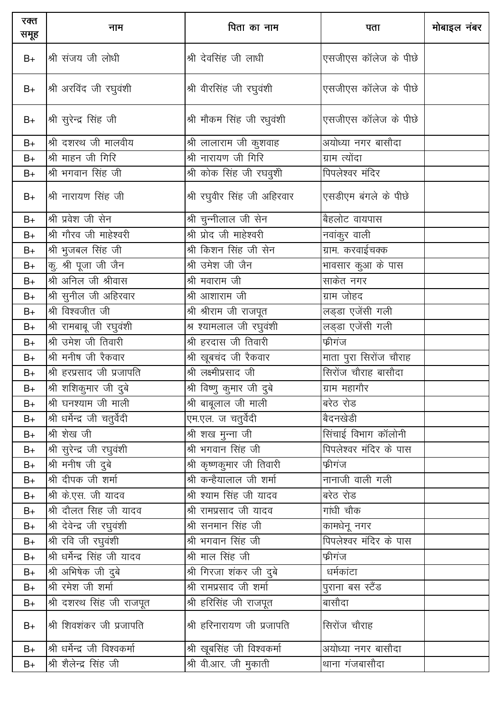| रक्त<br>समूह | नाम                           | पिता का नाम                      | पता                        | मोबाइल नंबर |
|--------------|-------------------------------|----------------------------------|----------------------------|-------------|
| $B+$         | श्री संजय जी लोधी             | श्री देवसिंह जी लाधी             | एसजीएस कॉलेज के पीछे       |             |
| $B+$         | श्री अरविंद जी रघुवंशी        | श्री वीरसिंह जी रघुवंशी          | एसजीएस कॉलेज के पीछे       |             |
| $B+$         | श्री सुरेन्द्र सिंह जी        | श्री मौकम सिंह जी रधुवंशी        | एसजीएस कॉलेज के पीछे       |             |
| $B+$         | श्री दशरथ जी मालवीय           | श्री लालाराम जी कुशवाह           | अयोध्या नगर बासौदा         |             |
| $B+$         | श्री माहन जी गिरि             | श्री नारायण जी गिरि              | ग्राम त्योंदा              |             |
| $B+$         | श्री भगवान सिंह जी            | श्री कोक सिंह जी रघवुशी          | पिपलेश्वर मंदिर            |             |
| $B+$         | श्री नारायण सिंह जी           | श्री रघुवीर सिंह जी अहिरवार      | एसडीएम बंगले के पीछे       |             |
| $B+$         | श्री प्रवेश जी सेन            | श्री चुन्नीलाल जी सेन            | बैहलोट वायपास              |             |
| $B+$         | श्री गौरव जी माहेश्वरी        | श्री प्रोद जी माहेश्वरी          | नवांकुर वाली               |             |
| $B+$         | श्री भुजबल सिंह जी            | श्री किशन सिंह जी सेन            | ग्राम. करवाईचक्क           |             |
| $B+$         | कु. श्री पूजा जी जैन          | श्री उमेश जी जैन                 | भावसार कुआ के पास          |             |
| $B+$         | श्री अनिल जी श्रीवास          | श्री मवाराम जी                   | साकेत नगर                  |             |
| $B+$         | श्री सुनील जी अहिरवार         | श्री आशाराम जी                   | ग्राम जोहद                 |             |
| $B+$         | श्री विश्वजीत जी              | श्री श्रीराम जी राजपूत           | लड्डा एजेंसी गली           |             |
| $B+$         | श्री रामबाबू जी रघुवंशी       | श्र श्यामलाल जी रघुवंशी          | लड्डा एजेंसी गली           |             |
| $B+$         | श्री उमेश जी तिवारी           | श्री हरदास जी तिवारी             | फ्रीगंज                    |             |
| $B+$         | श्री मनीष जी रैकवार           | श्री खूबचंद जी रैकवार            | माता पुरा सिरोंज चौराह     |             |
| $B+$         | श्री हरप्रसाद जी प्रजापति     | श्री लक्ष्मीप्रसाद जी            | सिरोंज चौराह बासौदा        |             |
| $B+$         | श्री शशिकुमार जी दुबे         | <u>श्री विष्णु कुमार जी दुबे</u> | ग्राम महागौर               |             |
| $B+$         | श्री घनश्याम जी माली          | श्री बाबूलाल जी माली             | बरेठ रोड                   |             |
| $B+$         | श्री धर्मेन्द्र जी चतुर्वेदी  | एम.एल. ज चतुर्वेदी               | बैदनखेडी                   |             |
| $B+$         | श्री शेख जी                   | श्री शख मुन्ना जी                | <u>सिंचाई विभाग कॉलोनी</u> |             |
| $B+$         | श्री सुरेन्द्र जी रघुवंशी     | श्री भगवान सिंह जी               | पिपलेश्वर मंदिर के पास     |             |
| $B+$         | श्री मनीष जी दुबे             | श्री कृष्णकुमार जी तिवारी        | फ्रीगंज                    |             |
| $B+$         | श्री दीपक जी शर्मा            | श्री कन्हैयालाल जी शर्मा         | नानाजी वाली गली            |             |
| $B+$         | श्री के.एस. जी यादव           | श्री श्याम सिंह जी यादव          | बरेठ रोड                   |             |
| $B+$         | श्री दौलत सिह जी यादव         | श्री रामप्रसाद जी यादव           | __<br>गांधी चौक            |             |
| $B+$         | श्री देवेन्द्र जी रघुवंशी     | श्री सनमान सिंह जी               | कामधेनू नगर                |             |
| $B+$         | श्री रवि जी रघुवंशी           | श्री भगवान सिंह जी               | पिपलेश्वर मंदिर के पास     |             |
| $B+$         | श्री धर्मेन्द्र सिंह जी यादव  | श्री माल सिंह जी                 | फ्रीगंज                    |             |
| $B+$         | श्री अभिषेक जी दुबे           | श्री गिरजा शंकर जी दुबे          | धर्मकांटा                  |             |
| $B+$         | श्री रमेश जी शर्मा            | श्री रामप्रसाद जी शर्मा          | पुराना बस स्टैंड           |             |
| $B+$         | श्री दशरथ सिंह जी राजपूत      | ्र<br>श्री हरिसिंह जी राजपूत     | बासौदा                     |             |
| $B+$         | श्री शिवशंकर जी प्रजापति      | श्री हरिनारायण जी प्रजापति       | सिरोंज चौराह               |             |
| $B+$         | श्री धर्मेन्द्र जी विश्वकर्मा | श्री खूबसिंह जी विश्वकर्मा       | अयोध्या नगर बासौदा         |             |
| $B+$         | श्री शैलेन्द्र सिंह जी        | श्री वी.आर. जी मुकाती            | थाना गंजबासौदा             |             |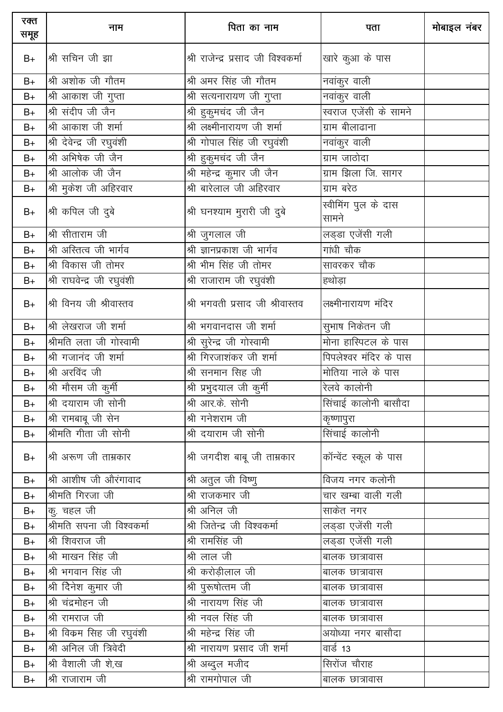| रक्त<br>समूह | नाम                                           | पिता का नाम                         | पता                          | मोबाइल नंबर |
|--------------|-----------------------------------------------|-------------------------------------|------------------------------|-------------|
| $B+$         | श्री सचिन जी झा                               | श्री राजेन्द्र प्रसाद जी विश्वकर्मा | खारे कुआ के पास              |             |
| $B+$         | श्री अशोक जी गौतम                             | श्री अमर सिंह जी गौतम               | नवांकुर वाली                 |             |
| $B+$         | श्री आकाश जी गुप्ता                           | श्री सत्यनारायण जी गुप्ता           | नवांकुर वाली                 |             |
| $B+$         | श्री संदीप जी जैन                             | श्री हुकुमचंद जी जैन                | स्वराज एजेंसी के सामने       |             |
| $B+$         | श्री आकाश जी शर्मा                            | श्री लक्ष्मीनारायण जी शर्मा         | ग्राम बीलाढाना               |             |
| $B+$         | श्री देवेन्द्र जी रघुवंशी                     | श्री गोपाल सिंह जी रघुवंशी          | नवांकुर वाली                 |             |
| $B+$         | श्री अभिषेक जी जैन                            | श्री हुकुमचंद जी जैन                | ग्राम जाठोदा                 |             |
| $B+$         | श्री आलोक जी जैन                              | श्री महेन्द्र कुमार जी जैन          | ग्राम झिला जि. सागर          |             |
| $B+$         | श्री मुकेश जी अहिरवार                         | श्री बारेलाल जी अहिरवार             | ग्राम बरेठ                   |             |
| $B+$         | श्री कपिल जी दुबे                             | श्री घनश्याम मुरारी जी दुबे         | स्वीमिंग पुल के दास<br>सामने |             |
| $B+$         | श्री सीताराम जी                               | श्री जुगलाल जी                      | लड्डा एजेंसी गली             |             |
| $B+$         | श्री अस्तित्व जी भार्गव                       | श्री ज्ञानप्रकाश जी भार्गव          | गांधी चौक                    |             |
| $B+$         | श्री विकास जी तोमर                            | श्री भीम सिंह जी तोमर               | सावरकर चौक                   |             |
| $B+$         | श्री राघवेन्द्र जी रघुवंशी                    | श्री राजाराम जी रघुवंशी             | हथोड़ा                       |             |
| $B+$         | श्री विनय जी श्रीवास्तव                       | श्री भगवती प्रसाद जी श्रीवास्तव     | लक्ष्मीनारायण मंदिर          |             |
| $B+$         | श्री लेखराज जी शर्मा                          | श्री भगवानदास जी शर्मा              | सुभाष निकेतन जी              |             |
| $B+$         | श्रीमति लता जी गोस्वामी                       | श्री सुरेन्द्र जी गोस्वामी          | मोना हास्पिटल के पास         |             |
| $B+$         | श्री गजानंद जी शर्मा                          | श्री गिरजाशंकर जी शर्मा             | पिपलेश्वर मंदिर के पास       |             |
| $B+$         | श्री अरविंद जी                                | श्री सनमान सिह जी                   | मोतिया नाले के पास           |             |
| $B+$         | श्री मौसम जी कुर् <mark>म</mark> ी            | श्री प्रभुदयाल जी कुर्मी            | रेलवे कालोनी                 |             |
| B+           | श्री दयाराम जी सोनी                           | श्री आर.के. सोनी                    | सिंचाई कालोनी बासौदा         |             |
| $B+$         | श्री रामबाबू जी सेन                           | श्री गनेशराम जी                     | कॄष्णापुरा                   |             |
| $B+$         | श्रीमति गीता जी सोनी                          | श्री दयाराम जी सोनी                 | सिंचाई कालोनी                |             |
| $B+$         | श्री अरूण जी ताम्रकार                         | श्री जगदीश बाबू जी ताम्रकार         | कॉन्वेंट स्कूल के पास        |             |
| $B+$         | श्री आशीष जी औरंगावाद                         | श्री अतुल जी विष्णु                 | विजय नगर कलोनी               |             |
| $B+$         | श्रीमति गिरजा जी                              | श्री राजकमार जी                     | चार खम्बा वाली गली           |             |
| $B+$         | कु. चहल जी                                    | श्री अनिल जी                        | साकेत नगर                    |             |
| $B+$         | श्रीमति सपना जी विश्वकर्मा                    | श्री जितेन्द्र जी विश्वकर्मा        | लड्डा एजेंसी गली             |             |
| $B+$         | श्री शिवराज जी                                | श्री रामसिंह जी                     | लड्डा एजेंसी गली             |             |
| $B+$         | श्री माखन सिंह जी                             | श्री लाल जी                         | बालक छात्रावास               |             |
| $B+$         | श्री भगवान सिंह जी                            | श्री करोड़ीलाल जी                   | बालक छात्रावास               |             |
| $B+$         | श्री दिेनेश कुमार जी $\overline{\phantom{a}}$ | श्री पुरूषोत्तम जी                  | बालक छात्रावास               |             |
| $B+$         | श्री चंद्रमोहन जी                             | श्री नारायण सिंह जी                 | बालक छात्रावास               |             |
| $B+$         | श्री रामराज जी                                | श्री नवल सिंह जी                    | बालक छात्रावास               |             |
| $B+$         | श्री विकम सिंह जी रघुवंशी                     | श्री महेन्द्र सिंह जी               | अयोध्या नगर बासौदा           |             |
| $B+$         | श्री अनिल जी त्रिवेदी                         | श्री नारायण प्रसाद जी शर्मा         | वार्ड 13                     |             |
| $B+$         | श्री वैशाली जी शे,ख                           | श्री अब्दुल मजीद                    | सिरोंज चौराह                 |             |
| $B+$         | श्री राजाराम जी                               | श्री रामगोपाल जी                    | बालक छात्रावास               |             |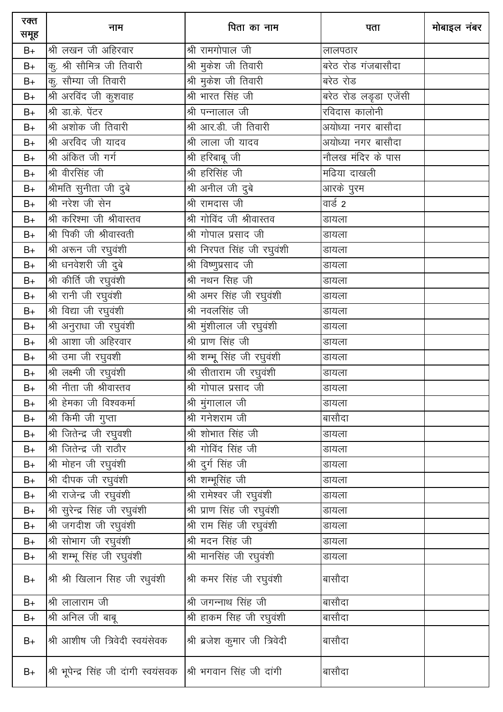| रक्त<br>समूह  | नाम                                                             | पिता का नाम                                    | पता                   | मोबाइल नंबर |
|---------------|-----------------------------------------------------------------|------------------------------------------------|-----------------------|-------------|
| $B+$          | श्री लखन जी अहिरवार                                             | श्री रामगोपाल जी                               | लालपठार               |             |
| $B+$          | कु. श्री सौमित्र जी तिवारी                                      | श्री मुकेश जी तिवारी                           | बरेठ रोड गंजबासौदा    |             |
| $B+$          | कु. सौम्या जी तिवारी                                            | श्री मुकेश जी तिवारी                           | बरेठ रोड              |             |
| $B+$          | श्री अरविंद जी कुशवाह                                           | श्री भारत सिंह जी                              | बरेठ रोड लडृडा एजेंसी |             |
| $B+$          | श्री डा.के. पेंटर                                               | श्री पन्नालाल जी                               | रविदास कालोनी         |             |
| $B+$          | श्री अशोक जी तिवारी                                             | श्री आर.डी. जी तिवारी                          | अयोध्या नगर बासौदा    |             |
| $B+$          | श्री अरविद जी यादव                                              | श्री लाला जी यादव                              | अयोध्या नगर बासौदा    |             |
| $B+$          | श्री अंकित जी गर्ग                                              | श्री हरिबाबू जी                                |                       |             |
| $B+$          | श्री वीरसिंह जी                                                 | श्री हरिसिंह जी                                | मढिया दाखली           |             |
| $B+$          | श्रीमति सुनीता जी दुबे                                          | श्री अनील जी दुबे                              | आरके पुरम             |             |
| $B+$          | श्री नरेश जी सेन                                                | श्री रामदास जी                                 | वार्ड 2               |             |
| $B+$          | श्री करिश्मा जी श्रीवास्तव                                      | श्री गोविंद जी श्रीवास्तव                      | डायला                 |             |
| $B+$          | श्री पिकी जी श्रीवास्वती                                        | श्री गोपाल प्रसाद जी                           | डायला                 |             |
| $B+$          | श्री अरून जी रघुवंशी                                            | श्री निरपत सिंह जी रघुवंशी                     | डायला                 |             |
| $B+$          | श्री धनवेशरी जी दुबे                                            | श्री विष्णुप्रसाद जी                           | डायला                 |             |
| $\mathsf{B}+$ | श्री कीर्ति जी रघुवंशी                                          | श्री नथन सिंह जी                               | डायला                 |             |
| $B+$          | श्री रानी जी रघुवंशी                                            |                                                | डायला                 |             |
| $\mathsf{B}+$ | श्री विद्या जी रघुवंशी                                          | श्री नवलसिंह जी                                | डायला                 |             |
| $B+$          | श्री अनुराधा जी रघुवंशी                                         | $\overline{\mathcal{B}}$ ा मुंशीलाल जी रघुवंशी | डायला                 |             |
| $B+$          | श्री आशा जी अहिरवार                                             | श्री प्राण सिंह जी                             | डायला                 |             |
| $B+$          | श्री उमा जी रघुवशी                                              | श्री शम्भू सिंह जी रघुवंशी                     | डायला                 |             |
| $B+$          | श्री लक्ष्मी जी रघुवंशी                                         | श्री सीताराम जी रघुवंशी                        | डायला                 |             |
| $B+$          | श्री नीता जी श्रीवास्तव                                         | श्री गोपाल प्रसाद जी                           | डायला                 |             |
| $B+$          | श्री हेमका जी विश्वकर्मा                                        | श्री मुंगालाल जी                               | डायला                 |             |
| $B+$          | श्री किमी जी गुप्ता                                             | <u>श्री गनेशराम जी</u>                         | बासौदा                |             |
| $B+$          | श्री जितेन्द्र जी रघुवशी                                        | श्री शोभात सिंह जी                             | डायला                 |             |
| $B+$          | श्री जितेन्द्र जी राठौर                                         | श्री गोविंद सिंह जी                            | डायला                 |             |
| $B+$          | श्री मोहन जी रघुवंशी                                            | श्री दुर्ग सिंह जी                             | डायला                 |             |
| $B+$          | <u>श्री</u> दीपक जी रघुवंशी                                     | श्री शम्भूसिंह जी                              | डायला                 |             |
| $B+$          | श्री राजेन्द्र जी रघुवंशी                                       |                                                | डायला                 |             |
| $B+$          | श्री सुरेन्द्र सिंह जी रघुवंशी                                  | श्री प्राण सिंह जी रघुवंशी                     | डायला                 |             |
| $B+$          | श्री जगदीश जी रघुवंशी                                           | श्री राम सिंह जी रघुवंशी                       | डायला                 |             |
| $B+$          | श्री सोभाग जी रघुवंशी                                           | श्री मदन सिंह जी                               | डायला                 |             |
| $B+$          | श्री शम्भू सिंह जी रघुवंशी                                      | श्री मानसिंह जी रघुवंशी                        | डायला                 |             |
| $B+$          | श्री श्री खिलान सिंह जी रधुवंशी                                 | श्री कमर सिंह जी रघुवंशी                       | बासौदा                |             |
| $B+$          | श्री लालाराम जी                                                 | श्री जगन्नाथ सिंह जी                           | बासौदा                |             |
| $B+$          | श्री अनिल जी बाबू                                               | श्री हाकम सिह जी रघुवंशी                       | बासौदा                |             |
| $B+$          | श्री आशीष जी त्रिवेदी स्वयंसेवक                                 | श्री ब्रजेश कुमार जी त्रिवेदी                  | बासौदा                |             |
| $B+$          | श्री भूपेन्द्र सिंह जी दांगी स्वयंसवक  श्री भगवान सिंह जी दांगी |                                                | बासौदा                |             |